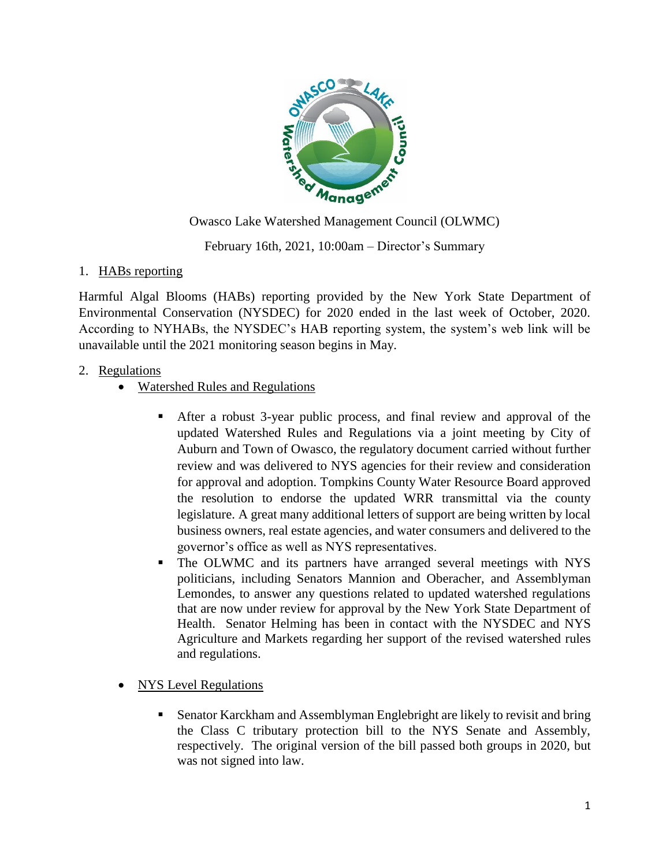

Owasco Lake Watershed Management Council (OLWMC)

February 16th, 2021, 10:00am – Director's Summary

## 1. HABs reporting

Harmful Algal Blooms (HABs) reporting provided by the New York State Department of Environmental Conservation (NYSDEC) for 2020 ended in the last week of October, 2020. According to NYHABs, the NYSDEC's HAB reporting system, the system's web link will be unavailable until the 2021 monitoring season begins in May.

## 2. Regulations

- Watershed Rules and Regulations
	- After a robust 3-year public process, and final review and approval of the updated Watershed Rules and Regulations via a joint meeting by City of Auburn and Town of Owasco, the regulatory document carried without further review and was delivered to NYS agencies for their review and consideration for approval and adoption. Tompkins County Water Resource Board approved the resolution to endorse the updated WRR transmittal via the county legislature. A great many additional letters of support are being written by local business owners, real estate agencies, and water consumers and delivered to the governor's office as well as NYS representatives.
	- The OLWMC and its partners have arranged several meetings with NYS politicians, including Senators Mannion and Oberacher, and Assemblyman Lemondes, to answer any questions related to updated watershed regulations that are now under review for approval by the New York State Department of Health. Senator Helming has been in contact with the NYSDEC and NYS Agriculture and Markets regarding her support of the revised watershed rules and regulations.
- NYS Level Regulations
	- Senator Karckham and Assemblyman Englebright are likely to revisit and bring the Class C tributary protection bill to the NYS Senate and Assembly, respectively. The original version of the bill passed both groups in 2020, but was not signed into law.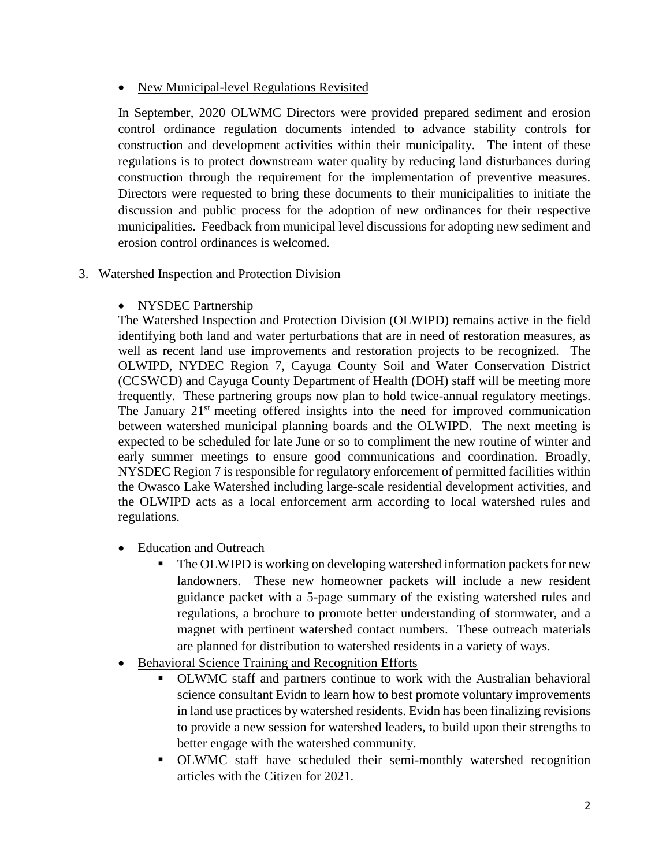### • New Municipal-level Regulations Revisited

In September, 2020 OLWMC Directors were provided prepared sediment and erosion control ordinance regulation documents intended to advance stability controls for construction and development activities within their municipality. The intent of these regulations is to protect downstream water quality by reducing land disturbances during construction through the requirement for the implementation of preventive measures. Directors were requested to bring these documents to their municipalities to initiate the discussion and public process for the adoption of new ordinances for their respective municipalities. Feedback from municipal level discussions for adopting new sediment and erosion control ordinances is welcomed.

## 3. Watershed Inspection and Protection Division

# • NYSDEC Partnership

The Watershed Inspection and Protection Division (OLWIPD) remains active in the field identifying both land and water perturbations that are in need of restoration measures, as well as recent land use improvements and restoration projects to be recognized. The OLWIPD, NYDEC Region 7, Cayuga County Soil and Water Conservation District (CCSWCD) and Cayuga County Department of Health (DOH) staff will be meeting more frequently. These partnering groups now plan to hold twice-annual regulatory meetings. The January  $21<sup>st</sup>$  meeting offered insights into the need for improved communication between watershed municipal planning boards and the OLWIPD. The next meeting is expected to be scheduled for late June or so to compliment the new routine of winter and early summer meetings to ensure good communications and coordination. Broadly, NYSDEC Region 7 is responsible for regulatory enforcement of permitted facilities within the Owasco Lake Watershed including large-scale residential development activities, and the OLWIPD acts as a local enforcement arm according to local watershed rules and regulations.

- Education and Outreach
	- The OLWIPD is working on developing watershed information packets for new landowners. These new homeowner packets will include a new resident guidance packet with a 5-page summary of the existing watershed rules and regulations, a brochure to promote better understanding of stormwater, and a magnet with pertinent watershed contact numbers. These outreach materials are planned for distribution to watershed residents in a variety of ways.
- Behavioral Science Training and Recognition Efforts
	- OLWMC staff and partners continue to work with the Australian behavioral science consultant Evidn to learn how to best promote voluntary improvements in land use practices by watershed residents. Evidn has been finalizing revisions to provide a new session for watershed leaders, to build upon their strengths to better engage with the watershed community.
	- OLWMC staff have scheduled their semi-monthly watershed recognition articles with the Citizen for 2021.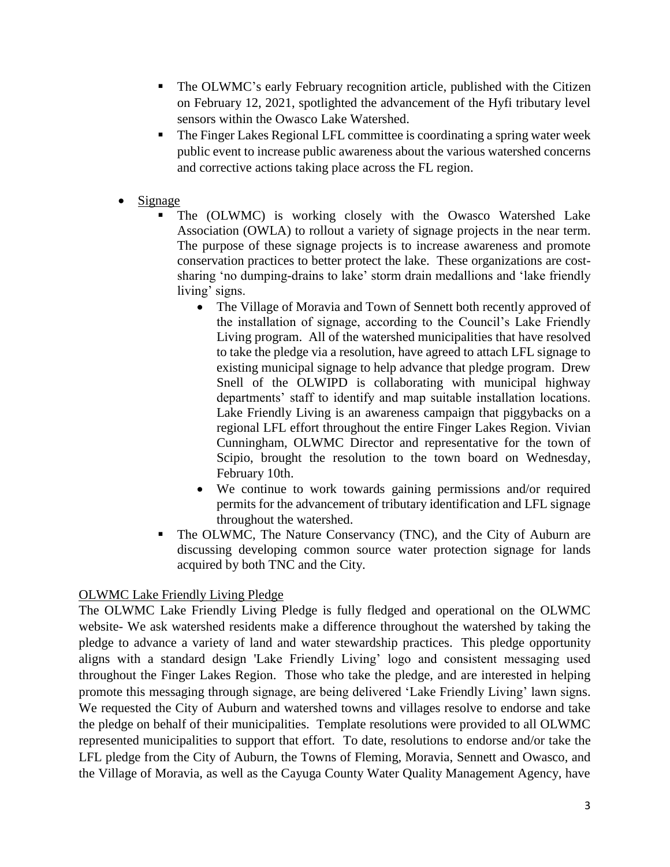- The OLWMC's early February recognition article, published with the Citizen on February 12, 2021, spotlighted the advancement of the Hyfi tributary level sensors within the Owasco Lake Watershed.
- The Finger Lakes Regional LFL committee is coordinating a spring water week public event to increase public awareness about the various watershed concerns and corrective actions taking place across the FL region.
- Signage
	- The (OLWMC) is working closely with the Owasco Watershed Lake Association (OWLA) to rollout a variety of signage projects in the near term. The purpose of these signage projects is to increase awareness and promote conservation practices to better protect the lake. These organizations are costsharing 'no dumping-drains to lake' storm drain medallions and 'lake friendly living' signs.
		- The Village of Moravia and Town of Sennett both recently approved of the installation of signage, according to the Council's Lake Friendly Living program. All of the watershed municipalities that have resolved to take the pledge via a resolution, have agreed to attach LFL signage to existing municipal signage to help advance that pledge program. Drew Snell of the OLWIPD is collaborating with municipal highway departments' staff to identify and map suitable installation locations. Lake Friendly Living is an awareness campaign that piggybacks on a regional LFL effort throughout the entire Finger Lakes Region. Vivian Cunningham, OLWMC Director and representative for the town of Scipio, brought the resolution to the town board on Wednesday, February 10th.
		- We continue to work towards gaining permissions and/or required permits for the advancement of tributary identification and LFL signage throughout the watershed.
	- The OLWMC, The Nature Conservancy (TNC), and the City of Auburn are discussing developing common source water protection signage for lands acquired by both TNC and the City.

### OLWMC Lake Friendly Living Pledge

The OLWMC Lake Friendly Living Pledge is fully fledged and operational on the OLWMC website- We ask watershed residents make a difference throughout the watershed by taking the pledge to advance a variety of land and water stewardship practices. This pledge opportunity aligns with a standard design 'Lake Friendly Living' logo and consistent messaging used throughout the Finger Lakes Region. Those who take the pledge, and are interested in helping promote this messaging through signage, are being delivered 'Lake Friendly Living' lawn signs. We requested the City of Auburn and watershed towns and villages resolve to endorse and take the pledge on behalf of their municipalities. Template resolutions were provided to all OLWMC represented municipalities to support that effort. To date, resolutions to endorse and/or take the LFL pledge from the City of Auburn, the Towns of Fleming, Moravia, Sennett and Owasco, and the Village of Moravia, as well as the Cayuga County Water Quality Management Agency, have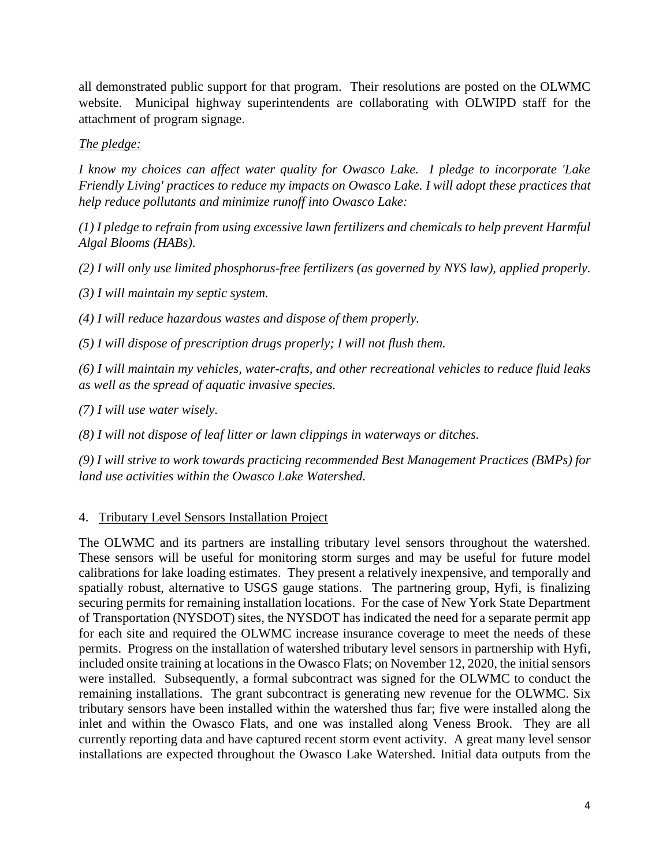all demonstrated public support for that program. Their resolutions are posted on the OLWMC website. Municipal highway superintendents are collaborating with OLWIPD staff for the attachment of program signage.

*The pledge:* 

*I know my choices can affect water quality for Owasco Lake. I pledge to incorporate 'Lake Friendly Living' practices to reduce my impacts on Owasco Lake. I will adopt these practices that help reduce pollutants and minimize runoff into Owasco Lake:*

*(1) I pledge to refrain from using excessive lawn fertilizers and chemicals to help prevent Harmful Algal Blooms (HABs).*

*(2) I will only use limited phosphorus-free fertilizers (as governed by NYS law), applied properly.*

*(3) I will maintain my septic system.*

*(4) I will reduce hazardous wastes and dispose of them properly.*

*(5) I will dispose of prescription drugs properly; I will not flush them.*

*(6) I will maintain my vehicles, water-crafts, and other recreational vehicles to reduce fluid leaks as well as the spread of aquatic invasive species.*

*(7) I will use water wisely.*

*(8) I will not dispose of leaf litter or lawn clippings in waterways or ditches.*

*(9) I will strive to work towards practicing recommended Best Management Practices (BMPs) for land use activities within the Owasco Lake Watershed.*

4. Tributary Level Sensors Installation Project

The OLWMC and its partners are installing tributary level sensors throughout the watershed. These sensors will be useful for monitoring storm surges and may be useful for future model calibrations for lake loading estimates. They present a relatively inexpensive, and temporally and spatially robust, alternative to USGS gauge stations. The partnering group, Hyfi, is finalizing securing permits for remaining installation locations. For the case of New York State Department of Transportation (NYSDOT) sites, the NYSDOT has indicated the need for a separate permit app for each site and required the OLWMC increase insurance coverage to meet the needs of these permits. Progress on the installation of watershed tributary level sensors in partnership with Hyfi, included onsite training at locations in the Owasco Flats; on November 12, 2020, the initial sensors were installed. Subsequently, a formal subcontract was signed for the OLWMC to conduct the remaining installations. The grant subcontract is generating new revenue for the OLWMC. Six tributary sensors have been installed within the watershed thus far; five were installed along the inlet and within the Owasco Flats, and one was installed along Veness Brook. They are all currently reporting data and have captured recent storm event activity. A great many level sensor installations are expected throughout the Owasco Lake Watershed. Initial data outputs from the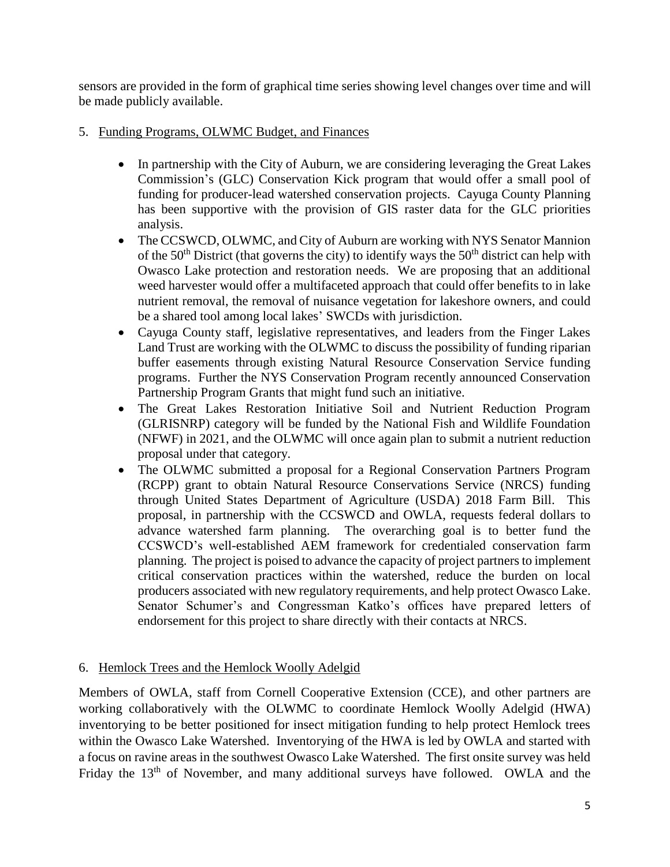sensors are provided in the form of graphical time series showing level changes over time and will be made publicly available.

- 5. Funding Programs, OLWMC Budget, and Finances
	- In partnership with the City of Auburn, we are considering leveraging the Great Lakes Commission's (GLC) Conservation Kick program that would offer a small pool of funding for producer-lead watershed conservation projects. Cayuga County Planning has been supportive with the provision of GIS raster data for the GLC priorities analysis.
	- The CCSWCD, OLWMC, and City of Auburn are working with NYS Senator Mannion of the  $50<sup>th</sup>$  District (that governs the city) to identify ways the  $50<sup>th</sup>$  district can help with Owasco Lake protection and restoration needs. We are proposing that an additional weed harvester would offer a multifaceted approach that could offer benefits to in lake nutrient removal, the removal of nuisance vegetation for lakeshore owners, and could be a shared tool among local lakes' SWCDs with jurisdiction.
	- Cayuga County staff, legislative representatives, and leaders from the Finger Lakes Land Trust are working with the OLWMC to discuss the possibility of funding riparian buffer easements through existing Natural Resource Conservation Service funding programs. Further the NYS Conservation Program recently announced Conservation Partnership Program Grants that might fund such an initiative.
	- The Great Lakes Restoration Initiative Soil and Nutrient Reduction Program (GLRISNRP) category will be funded by the National Fish and Wildlife Foundation (NFWF) in 2021, and the OLWMC will once again plan to submit a nutrient reduction proposal under that category.
	- The OLWMC submitted a proposal for a Regional Conservation Partners Program (RCPP) grant to obtain Natural Resource Conservations Service (NRCS) funding through United States Department of Agriculture (USDA) 2018 Farm Bill. This proposal, in partnership with the CCSWCD and OWLA, requests federal dollars to advance watershed farm planning. The overarching goal is to better fund the CCSWCD's well-established AEM framework for credentialed conservation farm planning. The project is poised to advance the capacity of project partners to implement critical conservation practices within the watershed, reduce the burden on local producers associated with new regulatory requirements, and help protect Owasco Lake. Senator Schumer's and Congressman Katko's offices have prepared letters of endorsement for this project to share directly with their contacts at NRCS.

# 6. Hemlock Trees and the Hemlock Woolly Adelgid

Members of OWLA, staff from Cornell Cooperative Extension (CCE), and other partners are working collaboratively with the OLWMC to coordinate Hemlock Woolly Adelgid (HWA) inventorying to be better positioned for insect mitigation funding to help protect Hemlock trees within the Owasco Lake Watershed. Inventorying of the HWA is led by OWLA and started with a focus on ravine areas in the southwest Owasco Lake Watershed. The first onsite survey was held Friday the 13<sup>th</sup> of November, and many additional surveys have followed. OWLA and the